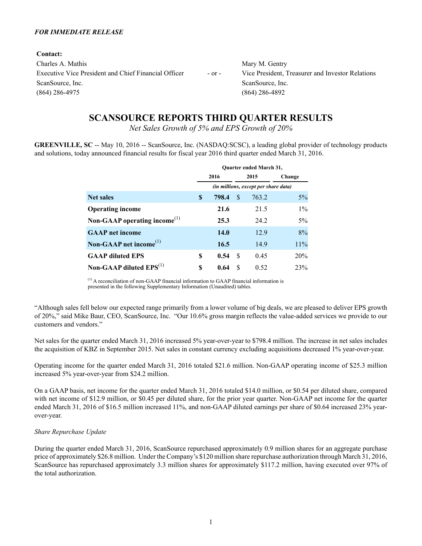#### *FOR IMMEDIATE RELEASE*

**Contact:** Charles A. Mathis Mary M. Gentry Executive Vice President and Chief Financial Officer - or - Vice President, Treasurer and Investor Relations ScanSource, Inc. ScanSource, Inc. ScanSource, Inc. (864) 286-4975 (864) 286-4892

# **SCANSOURCE REPORTS THIRD QUARTER RESULTS**

*Net Sales Growth of 5% and EPS Growth of 20%*

**GREENVILLE, SC** -- May 10, 2016 -- ScanSource, Inc. (NASDAQ:SCSC), a leading global provider of technology products and solutions, today announced financial results for fiscal year 2016 third quarter ended March 31, 2016.

|                                                 |   |       |    | <b>Ouarter ended March 31,</b>       |        |
|-------------------------------------------------|---|-------|----|--------------------------------------|--------|
|                                                 |   | 2016  |    | 2015                                 | Change |
|                                                 |   |       |    | (in millions, except per share data) |        |
| <b>Net sales</b>                                | S | 798.4 | \$ | 763.2                                | $5\%$  |
| <b>Operating income</b>                         |   | 21.6  |    | 21.5                                 | $1\%$  |
| Non-GAAP operating income <sup>(1)</sup>        |   | 25.3  |    | 24.2                                 | 5%     |
| <b>GAAP</b> net income                          |   | 14.0  |    | 12.9                                 | 8%     |
| Non-GAAP net income <sup><math>(1)</math></sup> |   | 16.5  |    | 14.9                                 | 11%    |
| <b>GAAP diluted EPS</b>                         | S | 0.54  | S  | 0.45                                 | 20%    |
| Non-GAAP diluted $EPS^{(1)}$                    | S | 0.64  | S  | 0.52                                 | 23%    |

(1) A reconciliation of non-GAAP financial information to GAAP financial information is presented in the following Supplementary Information (Unaudited) tables.

"Although sales fell below our expected range primarily from a lower volume of big deals, we are pleased to deliver EPS growth of 20%," said Mike Baur, CEO, ScanSource, Inc. "Our 10.6% gross margin reflects the value-added services we provide to our customers and vendors."

Net sales for the quarter ended March 31, 2016 increased 5% year-over-year to \$798.4 million. The increase in net sales includes the acquisition of KBZ in September 2015. Net sales in constant currency excluding acquisitions decreased 1% year-over-year.

Operating income for the quarter ended March 31, 2016 totaled \$21.6 million. Non-GAAP operating income of \$25.3 million increased 5% year-over-year from \$24.2 million.

On a GAAP basis, net income for the quarter ended March 31, 2016 totaled \$14.0 million, or \$0.54 per diluted share, compared with net income of \$12.9 million, or \$0.45 per diluted share, for the prior year quarter. Non-GAAP net income for the quarter ended March 31, 2016 of \$16.5 million increased 11%, and non-GAAP diluted earnings per share of \$0.64 increased 23% yearover-year.

### *Share Repurchase Update*

During the quarter ended March 31, 2016, ScanSource repurchased approximately 0.9 million shares for an aggregate purchase price of approximately \$26.8 million. Under the Company's \$120 million share repurchase authorization through March 31, 2016, ScanSource has repurchased approximately 3.3 million shares for approximately \$117.2 million, having executed over 97% of the total authorization.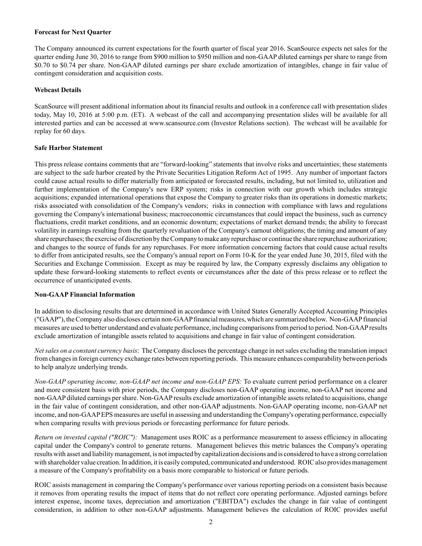#### **Forecast for Next Quarter**

The Company announced its current expectations for the fourth quarter of fiscal year 2016. ScanSource expects net sales for the quarter ending June 30, 2016 to range from \$900 million to \$950 million and non-GAAPdiluted earnings per share to range from \$0.70 to \$0.74 per share. Non-GAAP diluted earnings per share exclude amortization of intangibles, change in fair value of contingent consideration and acquisition costs.

#### **Webcast Details**

ScanSource will present additional information about its financial results and outlook in a conference call with presentation slides today, May 10, 2016 at 5:00 p.m. (ET). A webcast of the call and accompanying presentation slides will be available for all interested parties and can be accessed at www.scansource.com (Investor Relations section). The webcast will be available for replay for 60 days.

#### **Safe Harbor Statement**

This press release contains comments that are "forward-looking" statements that involve risks and uncertainties; these statements are subject to the safe harbor created by the Private Securities Litigation Reform Act of 1995. Any number of important factors could cause actual results to differ materially from anticipated or forecasted results, including, but not limited to, utilization and further implementation of the Company's new ERP system; risks in connection with our growth which includes strategic acquisitions; expanded international operations that expose the Company to greater risks than its operations in domestic markets; risks associated with consolidation of the Company's vendors; risks in connection with compliance with laws and regulations governing the Company's international business; macroeconomic circumstances that could impact the business, such as currency fluctuations, credit market conditions, and an economic downturn; expectations of market demand trends; the ability to forecast volatility in earnings resulting from the quarterly revaluation of the Company's earnout obligations; the timing and amount of any share repurchases; the exercise of discretion by the Company to make any repurchase or continue the share repurchase authorization; and changes to the source of funds for any repurchases. For more information concerning factors that could cause actual results to differ from anticipated results, see the Company's annual report on Form 10-K for the year ended June 30, 2015, filed with the Securities and Exchange Commission. Except as may be required by law, the Company expressly disclaims any obligation to update these forward-looking statements to reflect events or circumstances after the date of this press release or to reflect the occurrence of unanticipated events.

#### **Non-GAAP Financial Information**

In addition to disclosing results that are determined in accordance with United States Generally Accepted Accounting Principles ("GAAP"), the Company also discloses certain non-GAAPfinancial measures, which are summarized below. Non-GAAPfinancial measures are used to better understand and evaluate performance, including comparisons from period to period. Non-GAAPresults exclude amortization of intangible assets related to acquisitions and change in fair value of contingent consideration.

*Net sales on a constant currency basis*: The Company discloses the percentage change in net sales excluding the translation impact from changes in foreign currency exchange rates between reporting periods. This measure enhances comparability between periods to help analyze underlying trends.

*Non-GAAP operating income, non-GAAP net income and non-GAAP EPS:* To evaluate current period performance on a clearer and more consistent basis with prior periods, the Company discloses non-GAAP operating income, non-GAAP net income and non-GAAP diluted earnings per share. Non-GAAP results exclude amortization of intangible assets related to acquisitions, change in the fair value of contingent consideration, and other non-GAAP adjustments. Non-GAAP operating income, non-GAAP net income, and non-GAAPEPS measures are useful in assessing and understanding the Company's operating performance, especially when comparing results with previous periods or forecasting performance for future periods.

*Return on invested capital ("ROIC")*: Management uses ROIC as a performance measurement to assess efficiency in allocating capital under the Company's control to generate returns. Management believes this metric balances the Company's operating results with asset and liability management, is not impacted by capitalization decisions and is considered to have a strong correlation with shareholder value creation. In addition, it is easily computed, communicated and understood. ROIC also provides management a measure of the Company's profitability on a basis more comparable to historical or future periods.

ROIC assists management in comparing the Company's performance over various reporting periods on a consistent basis because it removes from operating results the impact of items that do not reflect core operating performance. Adjusted earnings before interest expense, income taxes, depreciation and amortization ("EBITDA") excludes the change in fair value of contingent consideration, in addition to other non-GAAP adjustments. Management believes the calculation of ROIC provides useful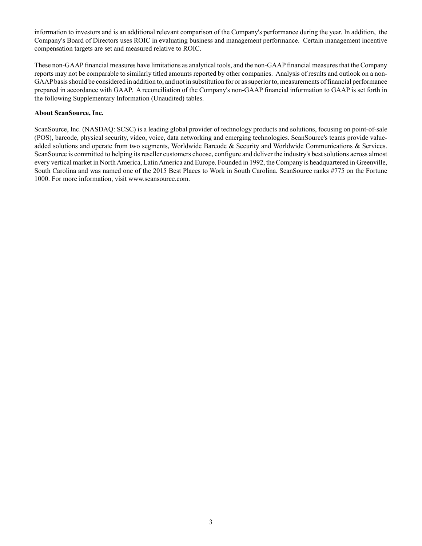information to investors and is an additional relevant comparison of the Company's performance during the year. In addition, the Company's Board of Directors uses ROIC in evaluating business and management performance. Certain management incentive compensation targets are set and measured relative to ROIC.

These non-GAAPfinancial measures have limitations as analytical tools, and the non-GAAPfinancial measures that the Company reports may not be comparable to similarly titled amounts reported by other companies. Analysis of results and outlook on a non-GAAPbasis should be considered in addition to, and not in substitution for or as superior to, measurements of financial performance prepared in accordance with GAAP. A reconciliation of the Company's non-GAAP financial information to GAAP is set forth in the following Supplementary Information (Unaudited) tables.

#### **About ScanSource, Inc.**

ScanSource, Inc. (NASDAQ: SCSC) is a leading global provider of technology products and solutions, focusing on point-of-sale (POS), barcode, physical security, video, voice, data networking and emerging technologies. ScanSource's teams provide valueadded solutions and operate from two segments, Worldwide Barcode & Security and Worldwide Communications & Services. ScanSource is committed to helping its reseller customers choose, configure and deliver the industry's best solutions across almost every vertical market in North America, Latin America and Europe. Founded in 1992, the Company is headquartered in Greenville, South Carolina and was named one of the 2015 Best Places to Work in South Carolina. ScanSource ranks #775 on the Fortune 1000. For more information, visit www.scansource.com.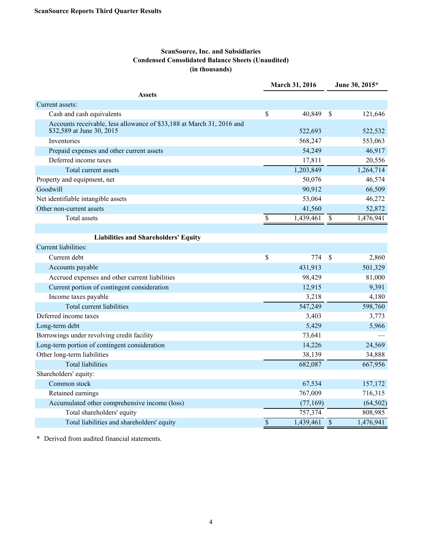### **ScanSource, Inc. and Subsidiaries Condensed Consolidated Balance Sheets (Unaudited) (in thousands)**

|                                                                                                    | March 31, 2016 |           |                          | June 30, 2015* |
|----------------------------------------------------------------------------------------------------|----------------|-----------|--------------------------|----------------|
| <b>Assets</b>                                                                                      |                |           |                          |                |
| Current assets:                                                                                    |                |           |                          |                |
| Cash and cash equivalents                                                                          | \$             | 40,849    | $\mathcal{S}$            | 121,646        |
| Accounts receivable, less allowance of \$33,188 at March 31, 2016 and<br>\$32,589 at June 30, 2015 |                | 522,693   |                          | 522,532        |
| Inventories                                                                                        |                | 568,247   |                          | 553,063        |
| Prepaid expenses and other current assets                                                          |                | 54,249    |                          | 46,917         |
| Deferred income taxes                                                                              |                | 17,811    |                          | 20,556         |
| Total current assets                                                                               |                | 1,203,849 |                          | 1,264,714      |
| Property and equipment, net                                                                        |                | 50,076    |                          | 46,574         |
| Goodwill                                                                                           |                | 90,912    |                          | 66,509         |
| Net identifiable intangible assets                                                                 |                | 53,064    |                          | 46,272         |
| Other non-current assets                                                                           |                | 41,560    |                          | 52,872         |
| <b>Total assets</b>                                                                                | \$             | 1,439,461 | $\mathcal{S}$            | 1,476,941      |
|                                                                                                    |                |           |                          |                |
| <b>Liabilities and Shareholders' Equity</b>                                                        |                |           |                          |                |
| Current liabilities:                                                                               |                |           |                          |                |
| Current debt                                                                                       | \$             | 774       | \$                       | 2,860          |
| Accounts payable                                                                                   |                | 431,913   |                          | 501,329        |
| Accrued expenses and other current liabilities                                                     |                | 98,429    |                          | 81,000         |
| Current portion of contingent consideration                                                        |                | 12,915    |                          | 9,391          |
| Income taxes payable                                                                               |                | 3,218     |                          | 4,180          |
| Total current liabilities                                                                          |                | 547,249   |                          | 598,760        |
| Deferred income taxes                                                                              |                | 3,403     |                          | 3,773          |
| Long-term debt                                                                                     |                | 5,429     |                          | 5,966          |
| Borrowings under revolving credit facility                                                         |                | 73,641    |                          |                |
| Long-term portion of contingent consideration                                                      |                | 14,226    |                          | 24,569         |
| Other long-term liabilities                                                                        |                | 38,139    |                          | 34,888         |
| <b>Total liabilities</b>                                                                           |                | 682,087   |                          | 667,956        |
| Shareholders' equity:                                                                              |                |           |                          |                |
| Common stock                                                                                       |                | 67,534    |                          | 157,172        |
| Retained earnings                                                                                  |                | 767,009   |                          | 716,315        |
| Accumulated other comprehensive income (loss)                                                      |                | (77, 169) |                          | (64, 502)      |
| Total shareholders' equity                                                                         |                | 757,374   |                          | 808,985        |
| Total liabilities and shareholders' equity                                                         | \$             | 1,439,461 | $\overline{\mathcal{S}}$ | 1,476,941      |

\* Derived from audited financial statements.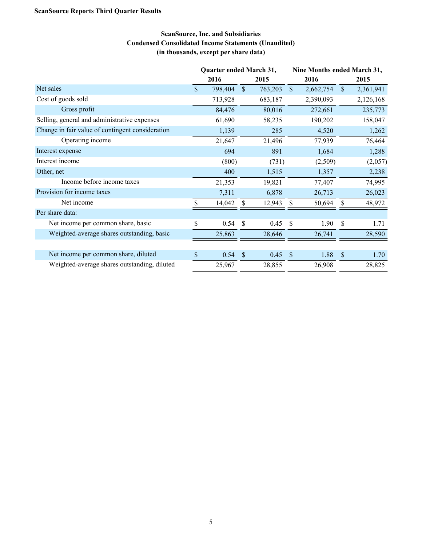## **ScanSource, Inc. and Subsidiaries Condensed Consolidated Income Statements (Unaudited) (in thousands, except per share data)**

|                                                  | Quarter ended March 31, |         |               |         |                    | Nine Months ended March 31, |               |           |  |  |  |
|--------------------------------------------------|-------------------------|---------|---------------|---------|--------------------|-----------------------------|---------------|-----------|--|--|--|
|                                                  |                         | 2016    |               | 2015    |                    | 2016                        |               | 2015      |  |  |  |
| Net sales                                        | $\mathbb{S}$            | 798,404 | $\mathbb{S}$  | 763,203 | $\mathbb{S}$       | 2,662,754                   | <sup>S</sup>  | 2,361,941 |  |  |  |
| Cost of goods sold                               |                         | 713,928 |               | 683,187 |                    | 2,390,093                   |               | 2,126,168 |  |  |  |
| Gross profit                                     |                         | 84,476  |               | 80,016  |                    | 272,661                     |               | 235,773   |  |  |  |
| Selling, general and administrative expenses     |                         | 61,690  |               | 58,235  |                    | 190,202                     |               | 158,047   |  |  |  |
| Change in fair value of contingent consideration |                         | 1,139   |               | 285     |                    | 4,520                       |               | 1,262     |  |  |  |
| Operating income                                 |                         | 21,647  |               | 21,496  |                    | 77,939                      |               | 76,464    |  |  |  |
| Interest expense                                 |                         | 694     |               | 891     |                    | 1,684                       |               | 1,288     |  |  |  |
| Interest income                                  |                         | (800)   |               | (731)   |                    | (2,509)                     |               | (2,057)   |  |  |  |
| Other, net                                       |                         | 400     |               | 1,515   |                    | 1,357                       |               | 2,238     |  |  |  |
| Income before income taxes                       |                         | 21,353  |               | 19,821  |                    | 77,407                      |               | 74,995    |  |  |  |
| Provision for income taxes                       |                         | 7,311   |               | 6,878   |                    | 26,713                      |               | 26,023    |  |  |  |
| Net income                                       | \$                      | 14,042  | S             | 12,943  | S                  | 50,694                      | \$            | 48,972    |  |  |  |
| Per share data:                                  |                         |         |               |         |                    |                             |               |           |  |  |  |
| Net income per common share, basic               | \$                      | 0.54    | <sup>S</sup>  | 0.45    | -S                 | 1.90                        | <sup>\$</sup> | 1.71      |  |  |  |
| Weighted-average shares outstanding, basic       |                         | 25,863  |               | 28,646  |                    | 26,741                      |               | 28,590    |  |  |  |
|                                                  |                         |         |               |         |                    |                             |               |           |  |  |  |
| Net income per common share, diluted             | \$                      | 0.54    | $\mathcal{S}$ | 0.45    | $\mathbf{\hat{s}}$ | 1.88                        | $\mathcal{S}$ | 1.70      |  |  |  |
| Weighted-average shares outstanding, diluted     |                         | 25,967  |               | 28,855  |                    | 26,908                      |               | 28,825    |  |  |  |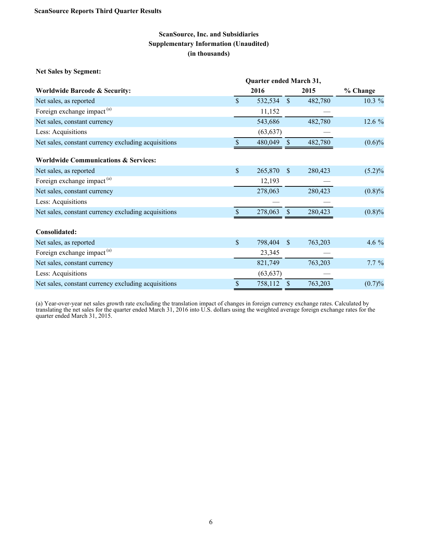**Net Sales by Segment:**

|                                                     | Quarter ended March 31, |           |              |         |           |
|-----------------------------------------------------|-------------------------|-----------|--------------|---------|-----------|
| <b>Worldwide Barcode &amp; Security:</b>            |                         | 2016      |              | 2015    | % Change  |
| Net sales, as reported                              | \$                      | 532,534   | $\mathbb{S}$ | 482,780 | 10.3 %    |
| Foreign exchange impact <sup>(a)</sup>              |                         | 11,152    |              |         |           |
| Net sales, constant currency                        |                         | 543,686   |              | 482,780 | 12.6 %    |
| Less: Acquisitions                                  |                         | (63, 637) |              |         |           |
| Net sales, constant currency excluding acquisitions |                         | 480,049   | \$           | 482,780 | $(0.6)\%$ |
| <b>Worldwide Communications &amp; Services:</b>     |                         |           |              |         |           |
| Net sales, as reported                              | \$                      | 265,870   | \$           | 280,423 | $(5.2)\%$ |
| Foreign exchange impact <sup>(a)</sup>              |                         | 12,193    |              |         |           |
| Net sales, constant currency                        |                         | 278,063   |              | 280,423 | $(0.8)\%$ |
| Less: Acquisitions                                  |                         |           |              |         |           |
| Net sales, constant currency excluding acquisitions |                         | 278,063   |              | 280,423 | (0.8)%    |
| Consolidated:                                       |                         |           |              |         |           |
| Net sales, as reported                              | \$                      | 798,404   | $\sqrt{\ }$  | 763,203 | 4.6 %     |
| Foreign exchange impact <sup>(a)</sup>              |                         | 23,345    |              |         |           |
| Net sales, constant currency                        |                         | 821,749   |              | 763,203 | $7.7\%$   |
| Less: Acquisitions                                  |                         | (63, 637) |              |         |           |
| Net sales, constant currency excluding acquisitions | \$                      | 758,112   | $\sqrt{\ }$  | 763,203 | (0.7)%    |

(a) Year-over-year net sales growth rate excluding the translation impact of changes in foreign currency exchange rates. Calculated by translating the net sales for the quarter ended March 31, 2016 into U.S. dollars using the weighted average foreign exchange rates for the quarter ended March 31, 2015.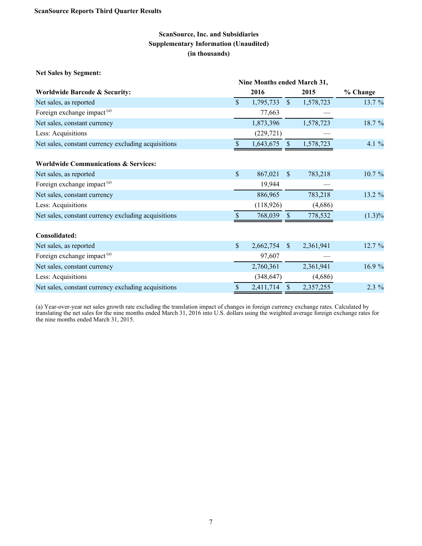**Net Sales by Segment:**

|                                                     | Nine Months ended March 31, |            |                           |           |           |
|-----------------------------------------------------|-----------------------------|------------|---------------------------|-----------|-----------|
| <b>Worldwide Barcode &amp; Security:</b>            |                             | 2016       |                           | 2015      | % Change  |
| Net sales, as reported                              | $\mathbb{S}$                | 1,795,733  | $\mathbb{S}$              | 1,578,723 | 13.7 %    |
| Foreign exchange impact <sup>(a)</sup>              |                             | 77,663     |                           |           |           |
| Net sales, constant currency                        |                             | 1,873,396  |                           | 1,578,723 | 18.7 %    |
| Less: Acquisitions                                  |                             | (229, 721) |                           |           |           |
| Net sales, constant currency excluding acquisitions |                             | 1,643,675  | $\boldsymbol{\mathsf{S}}$ | 1,578,723 | 4.1 %     |
| <b>Worldwide Communications &amp; Services:</b>     |                             |            |                           |           |           |
| Net sales, as reported                              | \$                          | 867,021    | $\mathbb{S}$              | 783,218   | 10.7 %    |
| Foreign exchange impact <sup>(a)</sup>              |                             | 19,944     |                           |           |           |
| Net sales, constant currency                        |                             | 886,965    |                           | 783,218   | 13.2 %    |
| Less: Acquisitions                                  |                             | (118, 926) |                           | (4,686)   |           |
| Net sales, constant currency excluding acquisitions |                             | 768,039    | $\sqrt{\ }$               | 778,532   | $(1.3)\%$ |
| Consolidated:                                       |                             |            |                           |           |           |
| Net sales, as reported                              | \$                          | 2,662,754  | $\mathbb{S}$              | 2,361,941 | 12.7 %    |
| Foreign exchange impact <sup>(a)</sup>              |                             | 97,607     |                           |           |           |
| Net sales, constant currency                        |                             | 2,760,361  |                           | 2,361,941 | 16.9 %    |
| Less: Acquisitions                                  |                             | (348, 647) |                           | (4,686)   |           |
| Net sales, constant currency excluding acquisitions | \$                          | 2,411,714  | $\mathbb{S}$              | 2,357,255 | 2.3 %     |

(a) Year-over-year net sales growth rate excluding the translation impact of changes in foreign currency exchange rates. Calculated by translating the net sales for the nine months ended March 31, 2016 into U.S. dollars using the weighted average foreign exchange rates for the nine months ended March 31, 2015.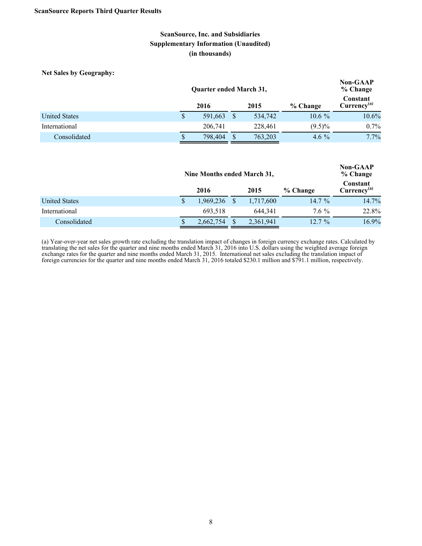**Net Sales by Geography:**

|                      |              | <b>Non-GAAP</b><br>% Change |          |                                     |         |
|----------------------|--------------|-----------------------------|----------|-------------------------------------|---------|
|                      | 2016<br>2015 |                             | % Change | Constant<br>Currency <sup>(a)</sup> |         |
| <b>United States</b> |              | 591,663                     | 534,742  | $10.6\%$                            | 10.6%   |
| International        |              | 206.741                     | 228.461  | $(9.5)\%$                           | $0.7\%$ |
| Consolidated         |              | 798,404                     | 763,203  | 4.6 $\%$                            | $7.7\%$ |

|                      | Nine Months ended March 31, |              |  |           |                                     |       |  |  |
|----------------------|-----------------------------|--------------|--|-----------|-------------------------------------|-------|--|--|
|                      |                             | 2016<br>2015 |  | % Change  | Constant<br>Currency <sup>(a)</sup> |       |  |  |
| <b>United States</b> |                             | 1,969,236    |  | 1,717,600 | $14.7\%$                            | 14.7% |  |  |
| International        |                             | 693.518      |  | 644.341   | $7.6\%$                             | 22.8% |  |  |
| Consolidated         |                             | 2,662,754    |  | 2,361,941 | $12.7\%$                            | 16.9% |  |  |

(a) Year-over-year net sales growth rate excluding the translation impact of changes in foreign currency exchange rates. Calculated by translating the net sales for the quarter and nine months ended March 31, 2016 into U.S. dollars using the weighted average foreign exchange rates for the quarter and nine months ended March 31, 2015. International net sales excluding the translation impact of foreign currencies for the quarter and nine months ended March 31, 2016 totaled \$230.1 million and \$791.1 million, respectively.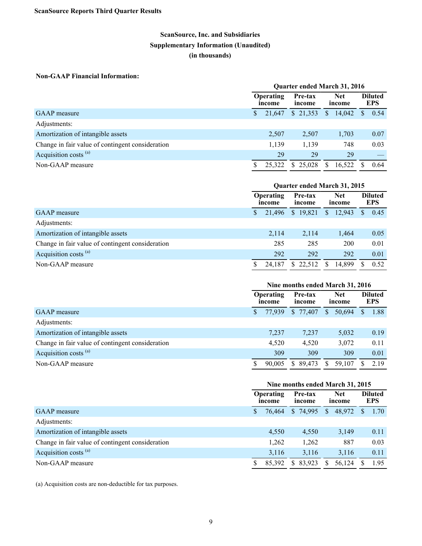### **Non-GAAP Financial Information:**

|                                                  | Quarter ended March 31, 2016 |        |                   |              |                      |    |                              |  |  |  |
|--------------------------------------------------|------------------------------|--------|-------------------|--------------|----------------------|----|------------------------------|--|--|--|
|                                                  | <b>Operating</b><br>income   |        | Pre-tax<br>income |              | <b>Net</b><br>income |    | <b>Diluted</b><br><b>EPS</b> |  |  |  |
| <b>GAAP</b> measure                              |                              | 21.647 | \$21,353          | <sup>S</sup> | 14,042               | S. | 0.54                         |  |  |  |
| Adjustments:                                     |                              |        |                   |              |                      |    |                              |  |  |  |
| Amortization of intangible assets                |                              | 2,507  | 2,507             |              | 1,703                |    | 0.07                         |  |  |  |
| Change in fair value of contingent consideration |                              | 1,139  | 1,139             |              | 748                  |    | 0.03                         |  |  |  |
| Acquisition costs <sup>(a)</sup>                 |                              | 29     | 29                |              | 29                   |    |                              |  |  |  |
| Non-GAAP measure                                 |                              | 25.322 | \$25.028          | S.           | 16.522               |    | 0.64                         |  |  |  |

|                                                  | Quarter ended March 31, 2015 |        |  |                   |              |                      |  |                              |  |  |
|--------------------------------------------------|------------------------------|--------|--|-------------------|--------------|----------------------|--|------------------------------|--|--|
|                                                  | <b>Operating</b><br>income   |        |  | Pre-tax<br>income |              | <b>Net</b><br>income |  | <b>Diluted</b><br><b>EPS</b> |  |  |
| <b>GAAP</b> measure                              |                              | 21.496 |  | \$19,821          | $\mathbb{S}$ | 12,943               |  | 0.45                         |  |  |
| Adjustments:                                     |                              |        |  |                   |              |                      |  |                              |  |  |
| Amortization of intangible assets                |                              | 2,114  |  | 2,114             |              | 1,464                |  | 0.05                         |  |  |
| Change in fair value of contingent consideration |                              | 285    |  | 285               |              | 200                  |  | 0.01                         |  |  |
| Acquisition costs <sup>(a)</sup>                 |                              | 292    |  | 292               |              | 292                  |  | 0.01                         |  |  |
| Non-GAAP measure                                 |                              | 24,187 |  | \$22,512          | S.           | 14,899               |  | 0.52                         |  |  |

|                                                  | Nine months ended March 31, 2016 |        |                   |           |              |                      |          |                              |  |  |
|--------------------------------------------------|----------------------------------|--------|-------------------|-----------|--------------|----------------------|----------|------------------------------|--|--|
|                                                  | Operating<br>income              |        | Pre-tax<br>income |           |              | <b>Net</b><br>income |          | <b>Diluted</b><br><b>EPS</b> |  |  |
| <b>GAAP</b> measure                              |                                  | 77.939 |                   | \$ 77,407 | <sup>S</sup> | 50,694               | <b>S</b> | 1.88                         |  |  |
| Adjustments:                                     |                                  |        |                   |           |              |                      |          |                              |  |  |
| Amortization of intangible assets                |                                  | 7,237  |                   | 7,237     |              | 5,032                |          | 0.19                         |  |  |
| Change in fair value of contingent consideration |                                  | 4,520  |                   | 4,520     |              | 3,072                |          | 0.11                         |  |  |
| Acquisition costs <sup>(a)</sup>                 |                                  | 309    |                   | 309       |              | 309                  |          | 0.01                         |  |  |
| Non-GAAP measure                                 |                                  | 90.005 |                   | \$89,473  | S.           | 59,107               |          | 2.19                         |  |  |

|                                                  | Nine months ended March 31, 2015 |        |                                           |    |        |          |                              |  |  |  |
|--------------------------------------------------|----------------------------------|--------|-------------------------------------------|----|--------|----------|------------------------------|--|--|--|
|                                                  | Operating<br>income              |        | <b>Net</b><br>Pre-tax<br>income<br>income |    |        |          | <b>Diluted</b><br><b>EPS</b> |  |  |  |
| <b>GAAP</b> measure                              |                                  | 76.464 | \$ 74,995                                 | S  | 48,972 | <b>S</b> | 1.70                         |  |  |  |
| Adjustments:                                     |                                  |        |                                           |    |        |          |                              |  |  |  |
| Amortization of intangible assets                |                                  | 4,550  | 4,550                                     |    | 3,149  |          | 0.11                         |  |  |  |
| Change in fair value of contingent consideration |                                  | 1,262  | 1,262                                     |    | 887    |          | 0.03                         |  |  |  |
| Acquisition costs <sup>(a)</sup>                 |                                  | 3,116  | 3.116                                     |    | 3,116  |          | 0.11                         |  |  |  |
| Non-GAAP measure                                 |                                  | 85,392 | \$83,923                                  | S. | 56,124 |          | 1.95                         |  |  |  |

(a) Acquisition costs are non-deductible for tax purposes.